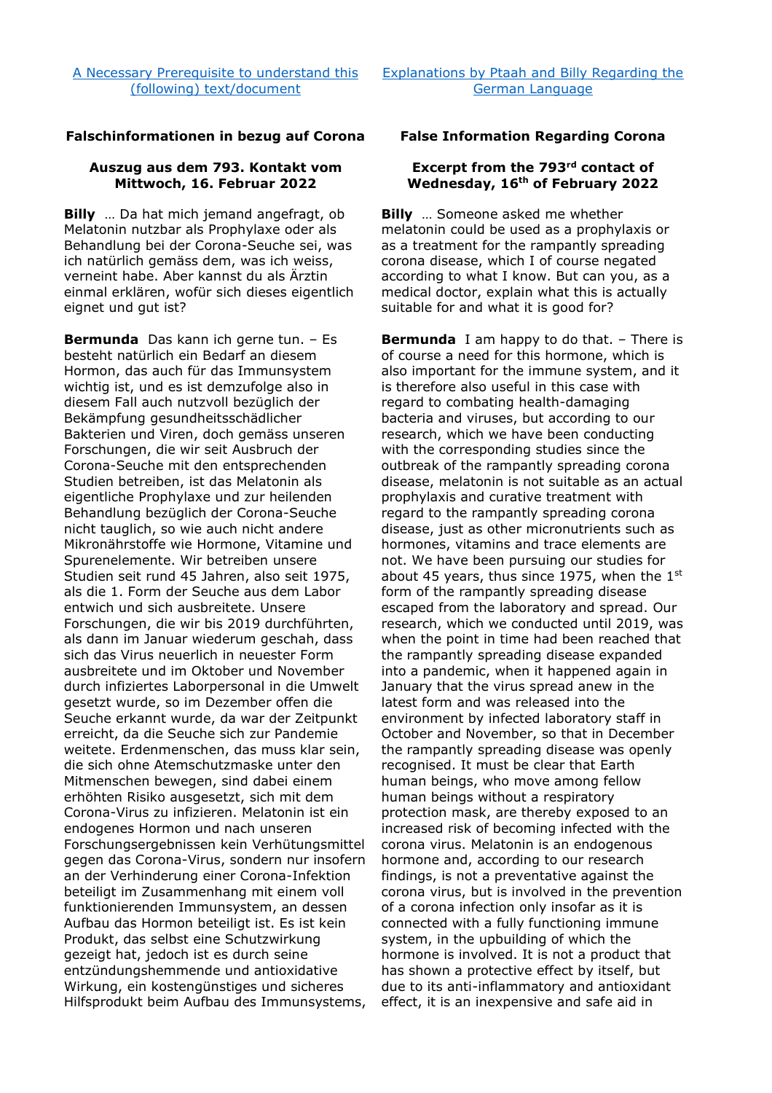## **Falschinformationen in bezug auf Corona False Information Regarding Corona**

## **Auszug aus dem 793. Kontakt vom Mittwoch, 16. Februar 2022**

**Billy** … Da hat mich jemand angefragt, ob Melatonin nutzbar als Prophylaxe oder als Behandlung bei der Corona-Seuche sei, was ich natürlich gemäss dem, was ich weiss, verneint habe. Aber kannst du als Ärztin einmal erklären, wofür sich dieses eigentlich eignet und gut ist?

**Bermunda** Das kann ich gerne tun. – Es besteht natürlich ein Bedarf an diesem Hormon, das auch für das Immunsystem wichtig ist, und es ist demzufolge also in diesem Fall auch nutzvoll bezüglich der Bekämpfung gesundheitsschädlicher Bakterien und Viren, doch gemäss unseren Forschungen, die wir seit Ausbruch der Corona-Seuche mit den entsprechenden Studien betreiben, ist das Melatonin als eigentliche Prophylaxe und zur heilenden Behandlung bezüglich der Corona-Seuche nicht tauglich, so wie auch nicht andere Mikronährstoffe wie Hormone, Vitamine und Spurenelemente. Wir betreiben unsere Studien seit rund 45 Jahren, also seit 1975, als die 1. Form der Seuche aus dem Labor entwich und sich ausbreitete. Unsere Forschungen, die wir bis 2019 durchführten, als dann im Januar wiederum geschah, dass sich das Virus neuerlich in neuester Form ausbreitete und im Oktober und November durch infiziertes Laborpersonal in die Umwelt gesetzt wurde, so im Dezember offen die Seuche erkannt wurde, da war der Zeitpunkt erreicht, da die Seuche sich zur Pandemie weitete. Erdenmenschen, das muss klar sein, die sich ohne Atemschutzmaske unter den Mitmenschen bewegen, sind dabei einem erhöhten Risiko ausgesetzt, sich mit dem Corona-Virus zu infizieren. Melatonin ist ein endogenes Hormon und nach unseren Forschungsergebnissen kein Verhütungsmittel gegen das Corona-Virus, sondern nur insofern an der Verhinderung einer Corona-Infektion beteiligt im Zusammenhang mit einem voll funktionierenden Immunsystem, an dessen Aufbau das Hormon beteiligt ist. Es ist kein Produkt, das selbst eine Schutzwirkung gezeigt hat, jedoch ist es durch seine entzündungshemmende und antioxidative Wirkung, ein kostengünstiges und sicheres Hilfsprodukt beim Aufbau des Immunsystems,

## **Excerpt from the 793rd contact of Wednesday, 16th of February 2022**

**Billy** … Someone asked me whether melatonin could be used as a prophylaxis or as a treatment for the rampantly spreading corona disease, which I of course negated according to what I know. But can you, as a medical doctor, explain what this is actually suitable for and what it is good for?

**Bermunda** I am happy to do that. – There is of course a need for this hormone, which is also important for the immune system, and it is therefore also useful in this case with regard to combating health-damaging bacteria and viruses, but according to our research, which we have been conducting with the corresponding studies since the outbreak of the rampantly spreading corona disease, melatonin is not suitable as an actual prophylaxis and curative treatment with regard to the rampantly spreading corona disease, just as other micronutrients such as hormones, vitamins and trace elements are not. We have been pursuing our studies for about 45 years, thus since 1975, when the  $1<sup>st</sup>$ form of the rampantly spreading disease escaped from the laboratory and spread. Our research, which we conducted until 2019, was when the point in time had been reached that the rampantly spreading disease expanded into a pandemic, when it happened again in January that the virus spread anew in the latest form and was released into the environment by infected laboratory staff in October and November, so that in December the rampantly spreading disease was openly recognised. It must be clear that Earth human beings, who move among fellow human beings without a respiratory protection mask, are thereby exposed to an increased risk of becoming infected with the corona virus. Melatonin is an endogenous hormone and, according to our research findings, is not a preventative against the corona virus, but is involved in the prevention of a corona infection only insofar as it is connected with a fully functioning immune system, in the upbuilding of which the hormone is involved. It is not a product that has shown a protective effect by itself, but due to its anti-inflammatory and antioxidant effect, it is an inexpensive and safe aid in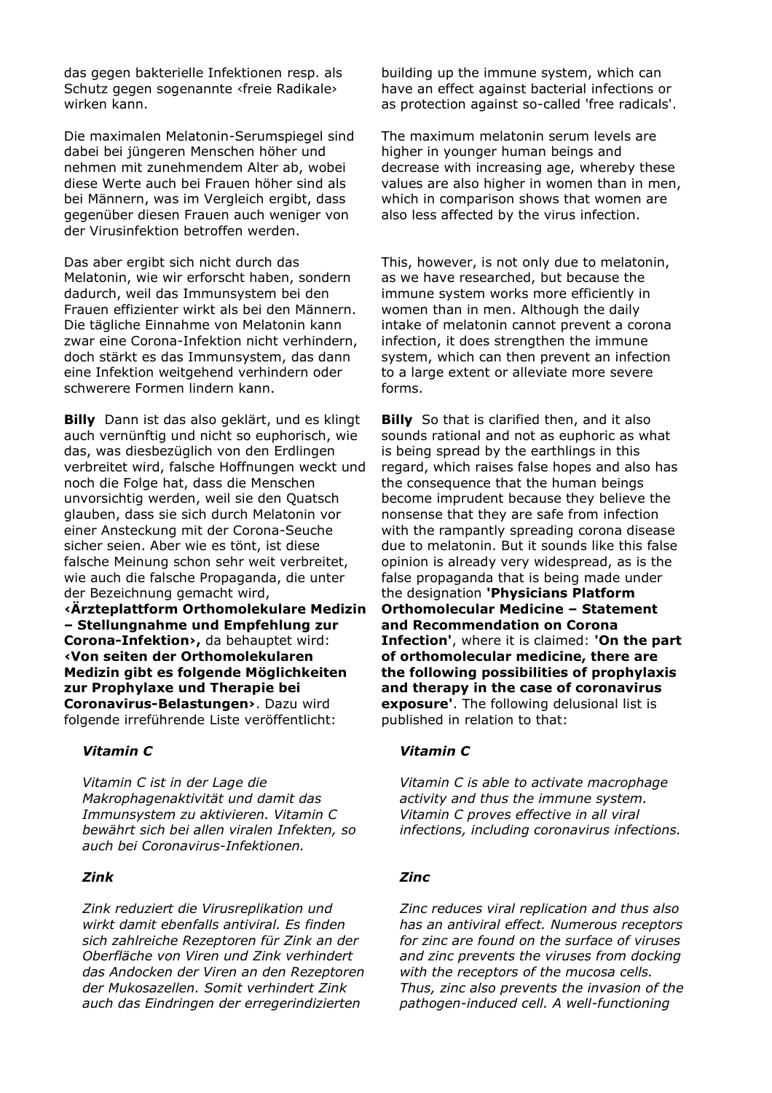das gegen bakterielle Infektionen resp. als Schutz gegen sogenannte ‹freie Radikale› wirken kann.

Die maximalen Melatonin-Serumspiegel sind dabei bei jüngeren Menschen höher und nehmen mit zunehmendem Alter ab, wobei diese Werte auch bei Frauen höher sind als bei Männern, was im Vergleich ergibt, dass gegenüber diesen Frauen auch weniger von der Virusinfektion betroffen werden.

Das aber ergibt sich nicht durch das Melatonin, wie wir erforscht haben, sondern dadurch, weil das Immunsystem bei den Frauen effizienter wirkt als bei den Männern. Die tägliche Einnahme von Melatonin kann zwar eine Corona-Infektion nicht verhindern, doch stärkt es das Immunsystem, das dann eine Infektion weitgehend verhindern oder schwerere Formen lindern kann.

**Billy** Dann ist das also geklärt, und es klingt auch vernünftig und nicht so euphorisch, wie das, was diesbezüglich von den Erdlingen verbreitet wird, falsche Hoffnungen weckt und noch die Folge hat, dass die Menschen unvorsichtig werden, weil sie den Quatsch glauben, dass sie sich durch Melatonin vor einer Ansteckung mit der Corona-Seuche sicher seien. Aber wie es tönt, ist diese falsche Meinung schon sehr weit verbreitet, wie auch die falsche Propaganda, die unter der Bezeichnung gemacht wird,

**‹Ärzteplattform Orthomolekulare Medizin – Stellungnahme und Empfehlung zur Corona-Infektion›,** da behauptet wird: **‹Von seiten der Orthomolekularen Medizin gibt es folgende Möglichkeiten zur Prophylaxe und Therapie bei Coronavirus-Belastungen›**. Dazu wird folgende irreführende Liste veröffentlicht:

*Vitamin C ist in der Lage die Makrophagenaktivität und damit das Immunsystem zu aktivieren. Vitamin C bewährt sich bei allen viralen Infekten, so auch bei Coronavirus-Infektionen.* 

*Zink reduziert die Virusreplikation und wirkt damit ebenfalls antiviral. Es finden sich zahlreiche Rezeptoren für Zink an der Oberfläche von Viren und Zink verhindert das Andocken der Viren an den Rezeptoren der Mukosazellen. Somit verhindert Zink auch das Eindringen der erregerindizierten* 

building up the immune system, which can have an effect against bacterial infections or as protection against so-called 'free radicals'.

The maximum melatonin serum levels are higher in younger human beings and decrease with increasing age, whereby these values are also higher in women than in men, which in comparison shows that women are also less affected by the virus infection.

This, however, is not only due to melatonin, as we have researched, but because the immune system works more efficiently in women than in men. Although the daily intake of melatonin cannot prevent a corona infection, it does strengthen the immune system, which can then prevent an infection to a large extent or alleviate more severe forms.

**Billy** So that is clarified then, and it also sounds rational and not as euphoric as what is being spread by the earthlings in this regard, which raises false hopes and also has the consequence that the human beings become imprudent because they believe the nonsense that they are safe from infection with the rampantly spreading corona disease due to melatonin. But it sounds like this false opinion is already very widespread, as is the false propaganda that is being made under the designation **'Physicians Platform Orthomolecular Medicine – Statement and Recommendation on Corona Infection'**, where it is claimed: **'On the part of orthomolecular medicine, there are the following possibilities of prophylaxis and therapy in the case of coronavirus exposure'**. The following delusional list is published in relation to that:

## *Vitamin C Vitamin C*

*Vitamin C is able to activate macrophage activity and thus the immune system. Vitamin C proves effective in all viral infections, including coronavirus infections.* 

## *Zink Zinc*

*Zinc reduces viral replication and thus also has an antiviral effect. Numerous receptors for zinc are found on the surface of viruses and zinc prevents the viruses from docking with the receptors of the mucosa cells. Thus, zinc also prevents the invasion of the pathogen-induced cell. A well-functioning*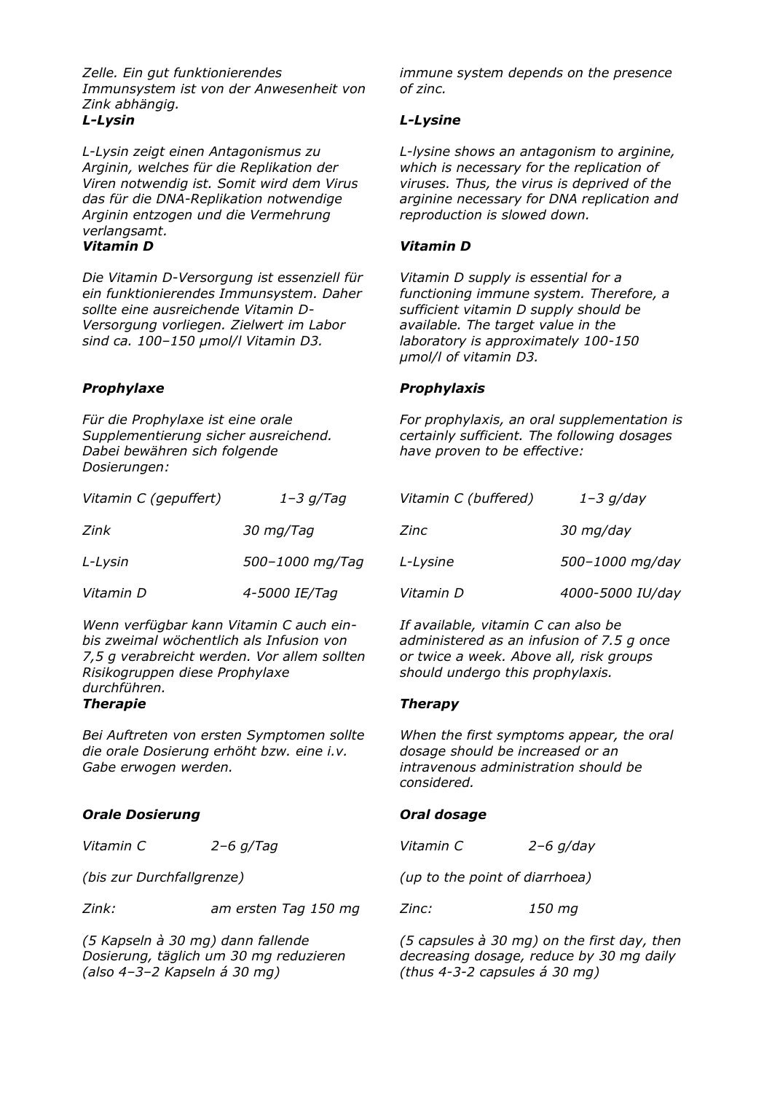*Zelle. Ein gut funktionierendes Immunsystem ist von der Anwesenheit von Zink abhängig. L-Lysin L-Lysine* 

*L-Lysin zeigt einen Antagonismus zu Arginin, welches für die Replikation der Viren notwendig ist. Somit wird dem Virus das für die DNA-Replikation notwendige Arginin entzogen und die Vermehrung verlangsamt. Vitamin D Vitamin D* 

*Die Vitamin D-Versorgung ist essenziell für ein funktionierendes Immunsystem. Daher sollte eine ausreichende Vitamin D-Versorgung vorliegen. Zielwert im Labor sind ca. 100–150 µmol/l Vitamin D3.* 

*Für die Prophylaxe ist eine orale Supplementierung sicher ausreichend. Dabei bewähren sich folgende Dosierungen:* 

| Vitamin C (gepuffert) | $1 - 3$ g/Tag   | Vitamin C (buffered) | $1 - 3$ g/day<br>30 mg/day<br>500-1000 mg |  |
|-----------------------|-----------------|----------------------|-------------------------------------------|--|
| Zink                  | 30 mg/Tag       | Zinc                 |                                           |  |
| L-Lysin               | 500-1000 mg/Tag | L-Lysine             |                                           |  |
| Vitamin D             | 4-5000 IE/Tag   | Vitamin D            | 4000-5000 IU                              |  |

*Wenn verfügbar kann Vitamin C auch einbis zweimal wöchentlich als Infusion von 7,5 g verabreicht werden. Vor allem sollten Risikogruppen diese Prophylaxe durchführen. Therapie Therapy* 

*Bei Auftreten von ersten Symptomen sollte die orale Dosierung erhöht bzw. eine i.v. Gabe erwogen werden.* 

# **Orale Dosierung and Communist Communist Communist Communist Communist Communist Communist Communist Communist Communist Communist Communist Communist Communist Communist Communist Communist Communist Communist Communist C**

*Vitamin C 2–6 g/Tag* 

*(bis zur Durchfallgrenze)* 

*Zink: am ersten Tag 150 mg* 

*(5 Kapseln à 30 mg) dann fallende Dosierung, täglich um 30 mg reduzieren (also 4–3–2 Kapseln á 30 mg)* 

*immune system depends on the presence of zinc.* 

*L-lysine shows an antagonism to arginine, which is necessary for the replication of viruses. Thus, the virus is deprived of the arginine necessary for DNA replication and reproduction is slowed down.* 

*Vitamin D supply is essential for a functioning immune system. Therefore, a sufficient vitamin D supply should be available. The target value in the laboratory is approximately 100-150 µmol/l of vitamin D3.* 

## *Prophylaxe Prophylaxis*

*For prophylaxis, an oral supplementation is certainly sufficient. The following dosages have proven to be effective:* 

| Vitamin C (gepuffert) | $1-3$ g/Tag     | Vitamin C (buffered) | $1 - 3$ g/day    |
|-----------------------|-----------------|----------------------|------------------|
| Zink                  | 30 mg/Tag       | Zinc                 | 30 mg/day        |
| L-Lysin               | 500-1000 mg/Tag | L-Lysine             | 500-1000 mg/day  |
| Vitamin D             | 4-5000 IE/Tag   | Vitamin D            | 4000-5000 IU/day |

*If available, vitamin C can also be administered as an infusion of 7.5 g once or twice a week. Above all, risk groups should undergo this prophylaxis.* 

*When the first symptoms appear, the oral dosage should be increased or an intravenous administration should be considered.* 

*Vitamin C 2–6 g/day* 

*(up to the point of diarrhoea)* 

*Zinc: 150 mg* 

*(5 capsules à 30 mg) on the first day, then decreasing dosage, reduce by 30 mg daily (thus 4-3-2 capsules á 30 mg)*